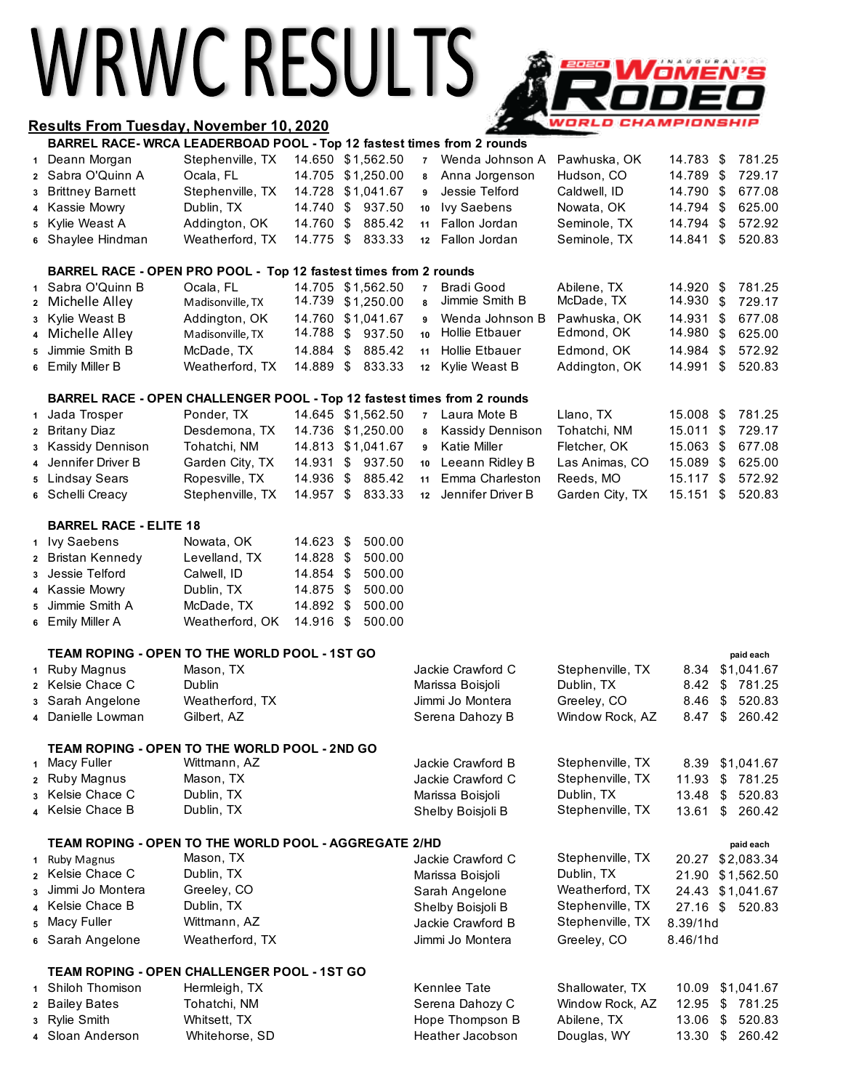# WRWCRESULTS A

### **Results From Tuesday, November 10, 2020 BARREL RACE- WRCA LEADERBOAD POOL - Top 12 fastest times from 2 rounds**

# <u>Women's</u> **WORLD CHAMPIONSHIP**

|              | BARREL RACE- WRCA LEADERBOAD POOL - Top 12 fastest times from 2 rounds  |                  |           |     |                   |                 |                         |                  |            |     |                 |
|--------------|-------------------------------------------------------------------------|------------------|-----------|-----|-------------------|-----------------|-------------------------|------------------|------------|-----|-----------------|
|              | 1 Deann Morgan                                                          | Stephenville, TX |           |     | 14.650 \$1,562.50 | $\overline{7}$  | Wenda Johnson A         | Pawhuska, OK     | 14.783     | \$  | 781.25          |
|              | 2 Sabra O'Quinn A                                                       | Ocala, FL        |           |     | 14.705 \$1,250.00 | 8               | Anna Jorgenson          | Hudson, CO       | 14.789     | \$  | 729.17          |
| 3            | <b>Brittney Barnett</b>                                                 | Stephenville, TX |           |     | 14.728 \$1,041.67 | 9               | Jessie Telford          | Caldwell, ID     | 14.790     | \$  | 677.08          |
| 4            | Kassie Mowry                                                            | Dublin, TX       | 14.740    | \$  | 937.50            | 10              | <b>Ivy Saebens</b>      | Nowata, OK       | 14.794     | \$  | 625.00          |
|              | 5 Kylie Weast A                                                         | Addington, OK    | 14.760    | \$  | 885.42            | 11              | Fallon Jordan           | Seminole, TX     | 14.794     | \$  | 572.92          |
|              | 6 Shaylee Hindman                                                       | Weatherford, TX  | 14.775    | \$  | 833.33            | 12 <sup>°</sup> | Fallon Jordan           | Seminole, TX     | 14.841     | \$  | 520.83          |
|              | BARREL RACE - OPEN PRO POOL - Top 12 fastest times from 2 rounds        |                  |           |     |                   |                 |                         |                  |            |     |                 |
| $\mathbf{1}$ | Sabra O'Quinn B                                                         | Ocala, FL        |           |     | 14.705 \$1,562.50 | $\overline{7}$  | <b>Bradi Good</b>       | Abilene, TX      | 14.920     | -\$ | 781.25          |
|              | 2 Michelle Alley                                                        | Madisonville, TX |           |     | 14.739 \$1,250.00 | 8               | Jimmie Smith B          | McDade, TX       | 14.930     | \$  | 729.17          |
| 3            | Kylie Weast B                                                           | Addington, OK    |           |     | 14.760 \$1,041.67 | 9               | Wenda Johnson B         | Pawhuska, OK     | 14.931     | \$  | 677.08          |
| 4            | Michelle Alley                                                          | Madisonville, TX | 14.788    | \$  | 937.50            | 10              | Hollie Etbauer          | Edmond, OK       | 14.980     | \$  | 625.00          |
| 5            | Jimmie Smith B                                                          | McDade, TX       | 14.884    | \$  | 885.42            | 11              | Hollie Etbauer          | Edmond, OK       | 14.984     | \$  | 572.92          |
|              | 6 Emily Miller B                                                        | Weatherford, TX  | 14.889 \$ |     | 833.33            | 12              | Kylie Weast B           | Addington, OK    | 14.991     | \$  | 520.83          |
|              | BARREL RACE - OPEN CHALLENGER POOL - Top 12 fastest times from 2 rounds |                  |           |     |                   |                 |                         |                  |            |     |                 |
|              | 1 Jada Trosper                                                          | Ponder, TX       |           |     | 14.645 \$1,562.50 | $\overline{7}$  | Laura Mote B            | Llano, TX        | 15.008     | \$  | 781.25          |
|              | 2 Britany Diaz                                                          | Desdemona, TX    |           |     | 14.736 \$1,250.00 | 8               | Kassidy Dennison        | Tohatchi, NM     | 15.011     | \$  | 729.17          |
|              | 3 Kassidy Dennison                                                      | Tohatchi, NM     |           |     | 14.813 \$1,041.67 | 9               | Katie Miller            | Fletcher, OK     | 15.063     | \$  | 677.08          |
| 4            | Jennifer Driver B                                                       | Garden City, TX  | 14.931    |     | \$937.50          | 10              | Leeann Ridley B         | Las Animas, CO   | 15.089     | \$  | 625.00          |
|              | 5 Lindsay Sears                                                         | Ropesville, TX   | 14.936 \$ |     | 885.42            | 11              | Emma Charleston         | Reeds, MO        | 15.117     | \$  | 572.92          |
|              | 6 Schelli Creacy                                                        | Stephenville, TX | 14.957 \$ |     | 833.33            | 12              | Jennifer Driver B       | Garden City, TX  | 15.151     | \$  | 520.83          |
|              | <b>BARREL RACE - ELITE 18</b>                                           |                  |           |     |                   |                 |                         |                  |            |     |                 |
|              | 1 Ivy Saebens                                                           | Nowata, OK       | 14.623 \$ |     | 500.00            |                 |                         |                  |            |     |                 |
|              | 2 Bristan Kennedy                                                       | Levelland, TX    | 14.828 \$ |     | 500.00            |                 |                         |                  |            |     |                 |
|              | 3 Jessie Telford                                                        | Calwell, ID      | 14.854    | \$  | 500.00            |                 |                         |                  |            |     |                 |
| 4            | Kassie Mowry                                                            | Dublin, TX       | 14.875    | -\$ | 500.00            |                 |                         |                  |            |     |                 |
| 5            | Jimmie Smith A                                                          | McDade, TX       | 14.892 \$ |     | 500.00            |                 |                         |                  |            |     |                 |
| 6            | Emily Miller A                                                          | Weatherford, OK  | 14.916    | -\$ | 500.00            |                 |                         |                  |            |     |                 |
|              | TEAM ROPING - OPEN TO THE WORLD POOL - 1ST GO                           |                  |           |     |                   |                 |                         |                  |            |     | paid each       |
|              | 1 Ruby Magnus                                                           | Mason, TX        |           |     |                   |                 | Jackie Crawford C       | Stephenville, TX |            |     | 8.34 \$1,041.67 |
|              | 2 Kelsie Chace C                                                        | Dublin           |           |     |                   |                 | Marissa Boisjoli        | Dublin, TX       | 8.42       | \$  | 781.25          |
|              | 3 Sarah Angelone                                                        | Weatherford, TX  |           |     |                   |                 | Jimmi Jo Montera        | Greeley, CO      | 8.46       | \$  | 520.83          |
|              | 4 Danielle Lowman                                                       | Gilbert, AZ      |           |     |                   |                 | Serena Dahozy B         | Window Rock, AZ  | 8.47       | \$  | 260.42          |
|              | TEAM ROPING - OPEN TO THE WORLD POOL - 2ND GO                           |                  |           |     |                   |                 |                         |                  |            |     |                 |
| 1            | Macy Fuller                                                             | Wittmann, AZ     |           |     |                   |                 | Jackie Crawford B       | Stephenville, TX | 8.39       |     | \$1,041.67      |
| $\mathbf{2}$ | <b>Ruby Magnus</b>                                                      | Mason, TX        |           |     |                   |                 | Jackie Crawford C       | Stephenville, TX | 11.93      | \$  | 781.25          |
| 3            | Kelsie Chace C                                                          | Dublin, TX       |           |     |                   |                 | Marissa Boisjoli        | Dublin, TX       | 13.48      | \$  | 520.83          |
|              | Kelsie Chace B                                                          | Dublin, TX       |           |     |                   |                 | Shelby Boisjoli B       | Stephenville, TX | 13.61      | \$  | 260.42          |
|              | TEAM ROPING - OPEN TO THE WORLD POOL - AGGREGATE 2/HD<br>paid each      |                  |           |     |                   |                 |                         |                  |            |     |                 |
|              | 1 Ruby Magnus                                                           | Mason, TX        |           |     |                   |                 | Jackie Crawford C       | Stephenville, TX | 20.27      |     | \$2,083.34      |
|              | 2 Kelsie Chace C                                                        | Dublin, TX       |           |     |                   |                 | Marissa Boisjoli        | Dublin, TX       | 21.90      |     | \$1,562.50      |
| 3            | Jimmi Jo Montera                                                        | Greeley, CO      |           |     |                   |                 | Sarah Angelone          | Weatherford, TX  | 24.43      |     | \$1,041.67      |
| 4            | Kelsie Chace B                                                          | Dublin, TX       |           |     |                   |                 | Shelby Boisjoli B       | Stephenville, TX | $27.16$ \$ |     | 520.83          |
| 5            | Macy Fuller                                                             | Wittmann, AZ     |           |     |                   |                 | Jackie Crawford B       | Stephenville, TX | 8.39/1hd   |     |                 |
| 6            | Sarah Angelone                                                          | Weatherford, TX  |           |     |                   |                 | Jimmi Jo Montera        | Greeley, CO      | 8.46/1hd   |     |                 |
|              | <b>TEAM ROPING - OPEN CHALLENGER POOL - 1ST GO</b>                      |                  |           |     |                   |                 |                         |                  |            |     |                 |
|              | 1 Shiloh Thomison                                                       | Hermleigh, TX    |           |     |                   |                 | Kennlee Tate            | Shallowater, TX  | 10.09      |     | \$1,041.67      |
|              | 2 Bailey Bates                                                          | Tohatchi, NM     |           |     |                   |                 | Serena Dahozy C         | Window Rock, AZ  | 12.95      | \$  | 781.25          |
| 3            | <b>Rylie Smith</b>                                                      | Whitsett, TX     |           |     |                   |                 | Hope Thompson B         | Abilene, TX      | 13.06      | \$  | 520.83          |
|              | Sloan Anderson                                                          | Whitehorse, SD   |           |     |                   |                 | <b>Heather Jacobson</b> | Douglas, WY      | 13.30      | \$  | 260.42          |
|              |                                                                         |                  |           |     |                   |                 |                         |                  |            |     |                 |